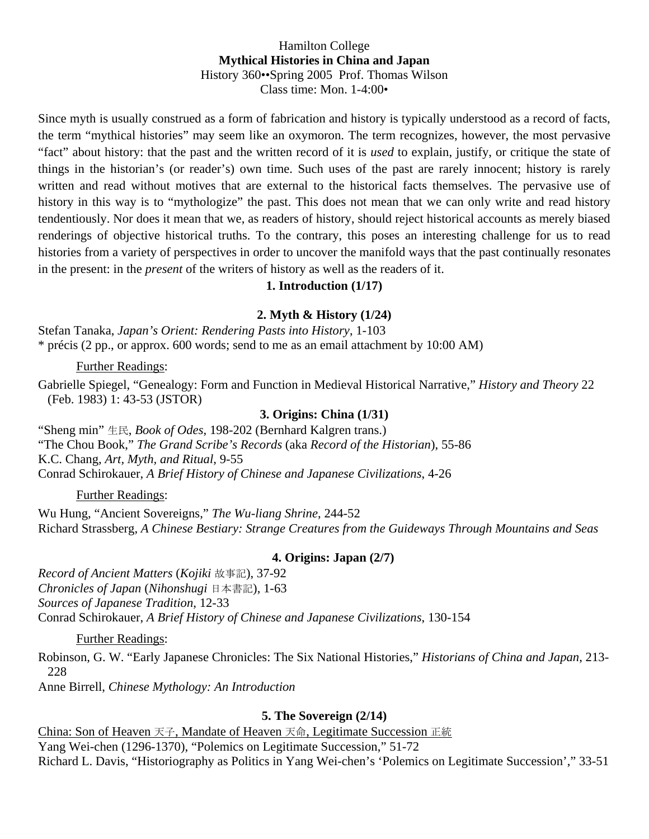## Hamilton College **Mythical Histories in China and Japan**  History 360••Spring 2005 Prof. Thomas Wilson Class time: Mon. 1-4:00•

Since myth is usually construed as a form of fabrication and history is typically understood as a record of facts, the term "mythical histories" may seem like an oxymoron. The term recognizes, however, the most pervasive "fact" about history: that the past and the written record of it is *used* to explain, justify, or critique the state of things in the historian's (or reader's) own time. Such uses of the past are rarely innocent; history is rarely written and read without motives that are external to the historical facts themselves. The pervasive use of history in this way is to "mythologize" the past. This does not mean that we can only write and read history tendentiously. Nor does it mean that we, as readers of history, should reject historical accounts as merely biased renderings of objective historical truths. To the contrary, this poses an interesting challenge for us to read histories from a variety of perspectives in order to uncover the manifold ways that the past continually resonates in the present: in the *present* of the writers of history as well as the readers of it.

## **1. Introduction (1/17)**

# **2. Myth & History (1/24)**

Stefan Tanaka, *Japan's Orient: Rendering Pasts into History*, 1-103 \* précis (2 pp., or approx. 600 words; send to me as an email attachment by 10:00 AM)

### Further Readings:

Gabrielle Spiegel, "Genealogy: Form and Function in Medieval Historical Narrative," *History and Theory* 22 (Feb. 1983) 1: 43-53 (JSTOR)

#### **3. Origins: China (1/31)**

"Sheng min" 生民, *Book of Odes*, 198-202 (Bernhard Kalgren trans.) "The Chou Book," *The Grand Scribe's Records* (aka *Record of the Historian*), 55-86 K.C. Chang, *Art, Myth, and Ritual*, 9-55 Conrad Schirokauer, *A Brief History of Chinese and Japanese Civilizations*, 4-26

## Further Readings:

Wu Hung, "Ancient Sovereigns," *The Wu-liang Shrine*, 244-52 Richard Strassberg, *A Chinese Bestiary: Strange Creatures from the Guideways Through Mountains and Seas*

#### **4. Origins: Japan (2/7)**

*Record of Ancient Matters* (*Kojiki* 故事記), 37-92 *Chronicles of Japan* (*Nihonshugi* 日本書記), 1-63 *Sources of Japanese Tradition*, 12-33 Conrad Schirokauer, *A Brief History of Chinese and Japanese Civilizations*, 130-154

Further Readings:

Robinson, G. W. "Early Japanese Chronicles: The Six National Histories," *Historians of China and Japan*, 213- 228

Anne Birrell, *Chinese Mythology: An Introduction*

## **5. The Sovereign (2/14)**

China: Son of Heaven 天子, Mandate of Heaven 天命, Legitimate Succession 正統 Yang Wei-chen (1296-1370), "Polemics on Legitimate Succession," 51-72 Richard L. Davis, "Historiography as Politics in Yang Wei-chen's 'Polemics on Legitimate Succession'," 33-51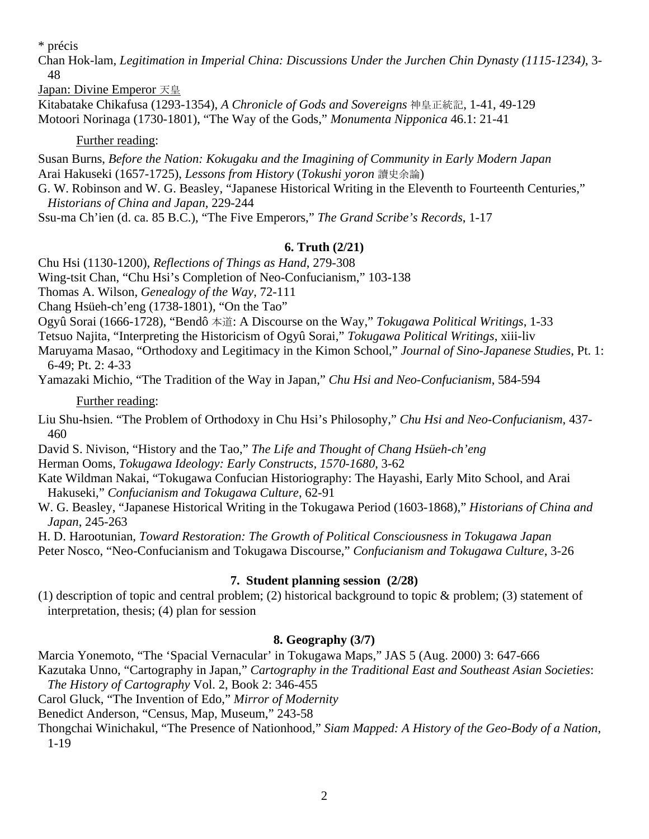\* précis

Chan Hok-lam, *Legitimation in Imperial China: Discussions Under the Jurchen Chin Dynasty (1115-1234)*, 3- 48

Japan: Divine Emperor 天皇

Kitabatake Chikafusa (1293-1354), *A Chronicle of Gods and Sovereigns* 神皇正統記, 1-41, 49-129 Motoori Norinaga (1730-1801), "The Way of the Gods," *Monumenta Nipponica* 46.1: 21-41

## Further reading:

Susan Burns, *Before the Nation: Kokugaku and the Imagining of Community in Early Modern Japan* Arai Hakuseki (1657-1725), *Lessons from History* (*Tokushi yoron* 讀史余論)

G. W. Robinson and W. G. Beasley, "Japanese Historical Writing in the Eleventh to Fourteenth Centuries," *Historians of China and Japan*, 229-244

Ssu-ma Ch'ien (d. ca. 85 B.C.), "The Five Emperors," *The Grand Scribe's Records*, 1-17

# **6. Truth (2/21)**

Chu Hsi (1130-1200), *Reflections of Things as Hand*, 279-308

Wing-tsit Chan, "Chu Hsi's Completion of Neo-Confucianism," 103-138

Thomas A. Wilson, *Genealogy of the Way*, 72-111

Chang Hsüeh-ch'eng (1738-1801), "On the Tao"

Ogyû Sorai (1666-1728), "Bendô 本道: A Discourse on the Way," *Tokugawa Political Writings*, 1-33

Tetsuo Najita, "Interpreting the Historicism of Ogyû Sorai," *Tokugawa Political Writings*, xiii-liv

Maruyama Masao, "Orthodoxy and Legitimacy in the Kimon School," *Journal of Sino-Japanese Studies*, Pt. 1: 6-49; Pt. 2: 4-33

Yamazaki Michio, "The Tradition of the Way in Japan," *Chu Hsi and Neo-Confucianism*, 584-594

# Further reading:

Liu Shu-hsien. "The Problem of Orthodoxy in Chu Hsi's Philosophy," *Chu Hsi and Neo-Confucianism*, 437- 460

David S. Nivison, "History and the Tao," *The Life and Thought of Chang Hsüeh-ch'eng* Herman Ooms, *Tokugawa Ideology: Early Constructs, 1570-1680*, 3-62

Kate Wildman Nakai, "Tokugawa Confucian Historiography: The Hayashi, Early Mito School, and Arai Hakuseki," *Confucianism and Tokugawa Culture*, 62-91

W. G. Beasley, "Japanese Historical Writing in the Tokugawa Period (1603-1868)," *Historians of China and Japan*, 245-263

H. D. Harootunian, *Toward Restoration: The Growth of Political Consciousness in Tokugawa Japan*

Peter Nosco, "Neo-Confucianism and Tokugawa Discourse," *Confucianism and Tokugawa Culture*, 3-26

# **7. Student planning session (2/28)**

(1) description of topic and central problem; (2) historical background to topic & problem; (3) statement of interpretation, thesis; (4) plan for session

# **8. Geography (3/7)**

Marcia Yonemoto, "The 'Spacial Vernacular' in Tokugawa Maps," JAS 5 (Aug. 2000) 3: 647-666

Kazutaka Unno, "Cartography in Japan," *Cartography in the Traditional East and Southeast Asian Societies*: *The History of Cartography* Vol. 2, Book 2: 346-455

Carol Gluck, "The Invention of Edo," *Mirror of Modernity*

Benedict Anderson, "Census, Map, Museum," 243-58

Thongchai Winichakul, "The Presence of Nationhood," *Siam Mapped: A History of the Geo-Body of a Nation*, 1-19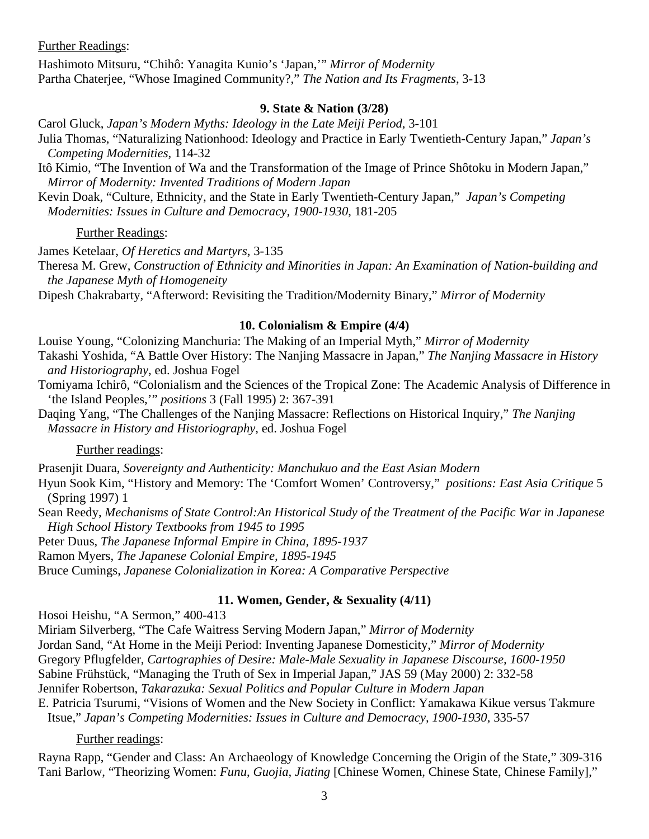Further Readings:

Hashimoto Mitsuru, "Chihô: Yanagita Kunio's 'Japan,'" *Mirror of Modernity* Partha Chaterjee, "Whose Imagined Community?," *The Nation and Its Fragments*, 3-13

## **9. State & Nation (3/28)**

Carol Gluck, *Japan's Modern Myths: Ideology in the Late Meiji Period*, 3-101

- Julia Thomas, "Naturalizing Nationhood: Ideology and Practice in Early Twentieth-Century Japan," *Japan's Competing Modernities*, 114-32
- Itô Kimio, "The Invention of Wa and the Transformation of the Image of Prince Shôtoku in Modern Japan," *Mirror of Modernity: Invented Traditions of Modern Japan*

Kevin Doak, "Culture, Ethnicity, and the State in Early Twentieth-Century Japan," *Japan's Competing Modernities: Issues in Culture and Democracy, 1900-1930*, 181-205

## Further Readings:

James Ketelaar, *Of Heretics and Martyrs*, 3-135

Theresa M. Grew, *Construction of Ethnicity and Minorities in Japan: An Examination of Nation-building and the Japanese Myth of Homogeneity*

Dipesh Chakrabarty, "Afterword: Revisiting the Tradition/Modernity Binary," *Mirror of Modernity*

### **10. Colonialism & Empire (4/4)**

Louise Young, "Colonizing Manchuria: The Making of an Imperial Myth," *Mirror of Modernity* Takashi Yoshida, "A Battle Over History: The Nanjing Massacre in Japan," *The Nanjing Massacre in History and Historiography*, ed. Joshua Fogel

Tomiyama Ichirô, "Colonialism and the Sciences of the Tropical Zone: The Academic Analysis of Difference in 'the Island Peoples,'" *positions* 3 (Fall 1995) 2: 367-391

Daqing Yang, "The Challenges of the Nanjing Massacre: Reflections on Historical Inquiry," *The Nanjing Massacre in History and Historiography*, ed. Joshua Fogel

### Further readings:

Prasenjit Duara, *Sovereignty and Authenticity: Manchukuo and the East Asian Modern*

Hyun Sook Kim, "History and Memory: The 'Comfort Women' Controversy," *positions: East Asia Critique* 5 (Spring 1997) 1

Sean Reedy, *Mechanisms of State Control:An Historical Study of the Treatment of the Pacific War in Japanese High School History Textbooks from 1945 to 1995*

Peter Duus, *The Japanese Informal Empire in China, 1895-1937*

Ramon Myers, *The Japanese Colonial Empire, 1895-1945*

Bruce Cumings, *Japanese Colonialization in Korea: A Comparative Perspective* 

## **11. Women, Gender, & Sexuality (4/11)**

Hosoi Heishu, "A Sermon," 400-413

Miriam Silverberg, "The Cafe Waitress Serving Modern Japan," *Mirror of Modernity*

Jordan Sand, "At Home in the Meiji Period: Inventing Japanese Domesticity," *Mirror of Modernity* 

Gregory Pflugfelder, *Cartographies of Desire: Male-Male Sexuality in Japanese Discourse, 1600-1950*

Sabine Frühstück, "Managing the Truth of Sex in Imperial Japan," JAS 59 (May 2000) 2: 332-58

Jennifer Robertson, *Takarazuka: Sexual Politics and Popular Culture in Modern Japan*

E. Patricia Tsurumi, "Visions of Women and the New Society in Conflict: Yamakawa Kikue versus Takmure Itsue," *Japan's Competing Modernities: Issues in Culture and Democracy, 1900-1930*, 335-57

## Further readings:

Rayna Rapp, "Gender and Class: An Archaeology of Knowledge Concerning the Origin of the State," 309-316 Tani Barlow, "Theorizing Women: *Funu*, *Guojia*, *Jiating* [Chinese Women, Chinese State, Chinese Family],"